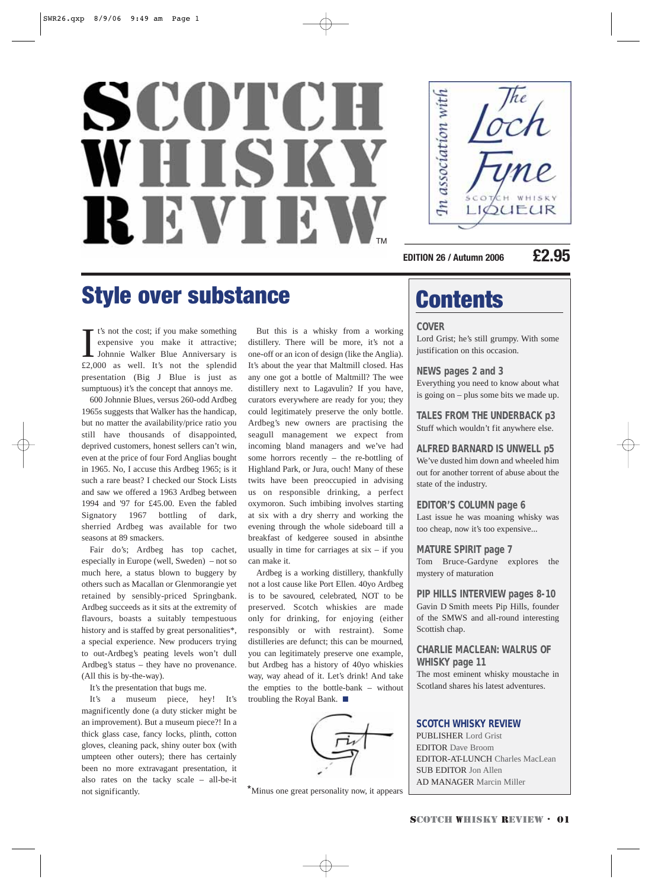# SCOTCH WHISK REVIEN TM



**EDITION 26 / Autumn 2006 £2.95**

### Style over substance Contents

It's not the cost; if you make something<br>expensive you make it attractive;<br>Johnnie Walker Blue Anniversary is<br>£2,000 as well. It's not the splendid t's not the cost; if you make something expensive you make it attractive; Johnnie Walker Blue Anniversary is presentation (Big J Blue is just as sumptuous) it's the concept that annoys me.

600 Johnnie Blues, versus 260-odd Ardbeg 1965s suggests that Walker has the handicap, but no matter the availability/price ratio you still have thousands of disappointed, deprived customers, honest sellers can't win, even at the price of four Ford Anglias bought in 1965. No, I accuse this Ardbeg 1965; is it such a rare beast? I checked our Stock Lists and saw we offered a 1963 Ardbeg between 1994 and '97 for £45.00. Even the fabled Signatory 1967 bottling of dark, sherried Ardbeg was available for two seasons at 89 smackers.

Fair do's; Ardbeg has top cachet, especially in Europe (well, Sweden) – not so much here, a status blown to buggery by others such as Macallan or Glenmorangie yet retained by sensibly-priced Springbank. Ardbeg succeeds as it sits at the extremity of flavours, boasts a suitably tempestuous history and is staffed by great personalities\*, a special experience. New producers trying to out-Ardbeg's peating levels won't dull Ardbeg's status – they have no provenance. (All this is by-the-way).

It's the presentation that bugs me.

It's a museum piece, hey! It's magnificently done (a duty sticker might be an improvement). But a museum piece?! In a thick glass case, fancy locks, plinth, cotton gloves, cleaning pack, shiny outer box (with umpteen other outers); there has certainly been no more extravagant presentation, it also rates on the tacky scale – all-be-it not significantly.

But this is a whisky from a working distillery. There will be more, it's not a one-off or an icon of design (like the Anglia). It's about the year that Maltmill closed. Has any one got a bottle of Maltmill? The wee distillery next to Lagavulin? If you have, curators everywhere are ready for you; they could legitimately preserve the only bottle. Ardbeg's new owners are practising the seagull management we expect from incoming bland managers and we've had some horrors recently – the re-bottling of Highland Park, or Jura, ouch! Many of these twits have been preoccupied in advising us on responsible drinking, a perfect oxymoron. Such imbibing involves starting at six with a dry sherry and working the evening through the whole sideboard till a breakfast of kedgeree soused in absinthe usually in time for carriages at  $six - if you$ can make it.

Ardbeg is a working distillery, thankfully not a lost cause like Port Ellen. 40yo Ardbeg is to be savoured, celebrated, NOT to be preserved. Scotch whiskies are made only for drinking, for enjoying (either responsibly or with restraint). Some distilleries are defunct; this can be mourned, you can legitimately preserve one example, but Ardbeg has a history of 40yo whiskies way, way ahead of it. Let's drink! And take the empties to the bottle-bank – without troubling the Royal Bank. ■



\*Minus one great personality now, it appears

### **COVER**

Lord Grist; he's still grumpy. With some justification on this occasion.

**NEWS pages 2 and 3** Everything you need to know about what is going on – plus some bits we made up.

**TALES FROM THE UNDERBACK p3**  Stuff which wouldn't fit anywhere else.

**ALFRED BARNARD IS UNWELL p5** We've dusted him down and wheeled him out for another torrent of abuse about the state of the industry.

#### **EDITOR'S COLUMN page 6**

Last issue he was moaning whisky was too cheap, now it's too expensive...

**MATURE SPIRIT page 7**

Tom Bruce-Gardyne explores the mystery of maturation

**PIP HILLS INTERVIEW pages 8-10** Gavin D Smith meets Pip Hills, founder of the SMWS and all-round interesting Scottish chap.

#### **CHARLIE MACLEAN: WALRUS OF WHISKY page 11**

The most eminent whisky moustache in Scotland shares his latest adventures.

#### **SCOTCH WHISKY REVIEW**

PUBLISHER Lord Grist EDITOR Dave Broom EDITOR-AT-LUNCH Charles MacLean SUB EDITOR Jon Allen AD MANAGER Marcin Miller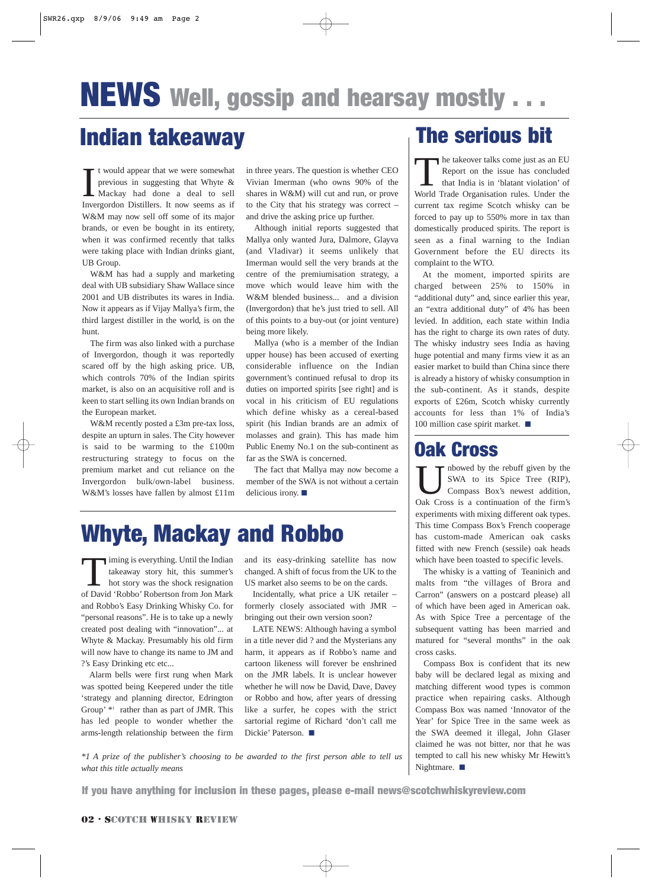### Indian takeaway **The serious bit**

 $\prod_{\text{Inv}e}$ t would appear that we were somewhat previous in suggesting that Whyte & Mackay had done a deal to sell Invergordon Distillers. It now seems as if W&M may now sell off some of its major brands, or even be bought in its entirety, when it was confirmed recently that talks were taking place with Indian drinks giant, UB Group.

W&M has had a supply and marketing deal with UB subsidiary Shaw Wallace since 2001 and UB distributes its wares in India. Now it appears as if Vijay Mallya's firm, the third largest distiller in the world, is on the hunt.

The firm was also linked with a purchase of Invergordon, though it was reportedly scared off by the high asking price. UB, which controls 70% of the Indian spirits market, is also on an acquisitive roll and is keen to start selling its own Indian brands on the European market.

W&M recently posted a £3m pre-tax loss, despite an upturn in sales. The City however is said to be warming to the £100m restructuring strategy to focus on the premium market and cut reliance on the Invergordon bulk/own-label business. W&M's losses have fallen by almost £11m in three years. The question is whether CEO Vivian Imerman (who owns 90% of the shares in W&M) will cut and run, or prove to the City that his strategy was correct – and drive the asking price up further.

Although initial reports suggested that Mallya only wanted Jura, Dalmore, Glayva (and Vladivar) it seems unlikely that Imerman would sell the very brands at the centre of the premiumisation strategy, a move which would leave him with the W&M blended business... and a division (Invergordon) that he's just tried to sell. All of this points to a buy-out (or joint venture) being more likely.

Mallya (who is a member of the Indian upper house) has been accused of exerting considerable influence on the Indian government's continued refusal to drop its duties on imported spirits [see right] and is vocal in his criticism of EU regulations which define whisky as a cereal-based spirit (his Indian brands are an admix of molasses and grain). This has made him Public Enemy No.1 on the sub-continent as far as the SWA is concerned.

The fact that Mallya may now become a member of the SWA is not without a certain delicious irony. ■

## Whyte, Mackay and Robbo

iming is everything. Until the Indian takeaway story hit, this summer's hot story was the shock resignation of David 'Robbo' Robertson from Jon Mark and Robbo's Easy Drinking Whisky Co. for "personal reasons". He is to take up a newly created post dealing with "innovation"... at Whyte & Mackay. Presumably his old firm will now have to change its name to JM and ?'s Easy Drinking etc etc...

Alarm bells were first rung when Mark was spotted being Keepered under the title 'strategy and planning director, Edrington Group' \*1 rather than as part of JMR. This has led people to wonder whether the arms-length relationship between the firm

and its easy-drinking satellite has now changed. A shift of focus from the UK to the US market also seems to be on the cards.

Incidentally, what price a UK retailer – formerly closely associated with JMR – bringing out their own version soon?

LATE NEWS: Although having a symbol in a title never did ? and the Mysterians any harm, it appears as if Robbo's name and cartoon likeness will forever be enshrined on the JMR labels. It is unclear however whether he will now be David, Dave, Davey or Robbo and how, after years of dressing like a surfer, he copes with the strict sartorial regime of Richard 'don't call me Dickie' Paterson. ■

*\*1 A prize of the publisher's choosing to be awarded to the first person able to tell us what this title actually means*

The takeover talks come just as an EU<br>Report on the issue has concluded<br>that India is in 'blatant violation' of<br>World Trade Organisation rules. Under the Report on the issue has concluded that India is in 'blatant violation' of World Trade Organisation rules. Under the current tax regime Scotch whisky can be forced to pay up to 550% more in tax than domestically produced spirits. The report is seen as a final warning to the Indian Government before the EU directs its complaint to the WTO.

At the moment, imported spirits are charged between 25% to 150% in "additional duty" and, since earlier this year, an "extra additional duty" of 4% has been levied. In addition, each state within India has the right to charge its own rates of duty. The whisky industry sees India as having huge potential and many firms view it as an easier market to build than China since there is already a history of whisky consumption in the sub-continent. As it stands, despite exports of £26m, Scotch whisky currently accounts for less than 1% of India's 100 million case spirit market. ■

### Oak Cross

nbowed by the rebuff given by the SWA to its Spice Tree (RIP), Compass Box's newest addition, Oak Cross is a continuation of the firm's experiments with mixing different oak types. This time Compass Box's French cooperage has custom-made American oak casks fitted with new French (sessile) oak heads which have been toasted to specific levels.

The whisky is a vatting of Teaninich and malts from "the villages of Brora and Carron" (answers on a postcard please) all of which have been aged in American oak. As with Spice Tree a percentage of the subsequent vatting has been married and matured for "several months" in the oak cross casks.

Compass Box is confident that its new baby will be declared legal as mixing and matching different wood types is common practice when repairing casks. Although Compass Box was named 'Innovator of the Year' for Spice Tree in the same week as the SWA deemed it illegal, John Glaser claimed he was not bitter, nor that he was tempted to call his new whisky Mr Hewitt's Nightmare. ■

If you have anything for inclusion in these pages, please e-mail news@scotchwhiskyreview.com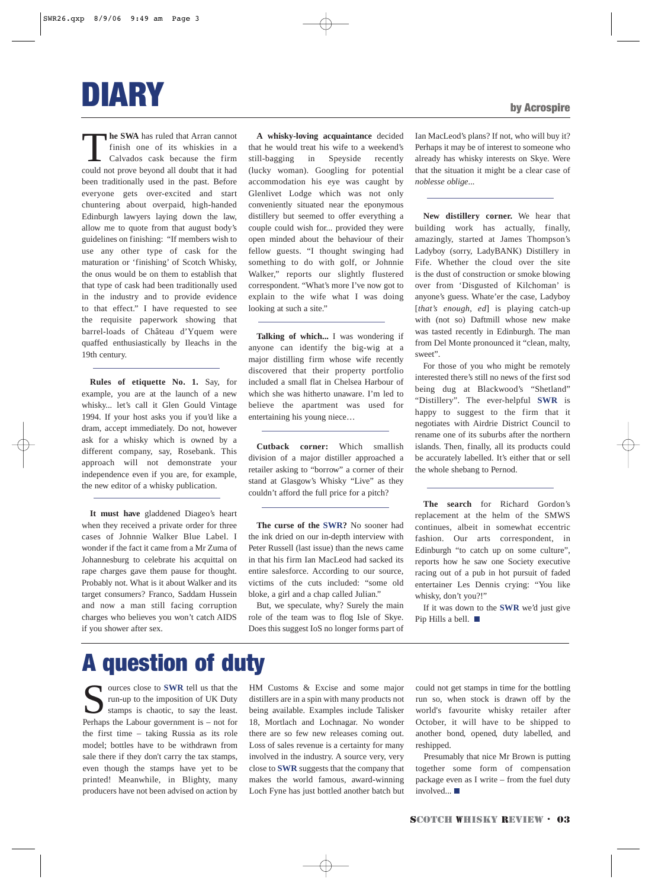

**The SWA** has ruled that Arran cannot<br>finish one of its whiskies in a<br>calvados cask because the firm<br>could not prove beyond all doubt that it had finish one of its whiskies in a Calvados cask because the firm could not prove beyond all doubt that it had been traditionally used in the past. Before everyone gets over-excited and start chuntering about overpaid, high-handed Edinburgh lawyers laying down the law, allow me to quote from that august body's guidelines on finishing: "If members wish to use any other type of cask for the maturation or 'finishing' of Scotch Whisky, the onus would be on them to establish that that type of cask had been traditionally used in the industry and to provide evidence to that effect." I have requested to see the requisite paperwork showing that barrel-loads of Château d'Yquem were quaffed enthusiastically by Ileachs in the 19th century.

**Rules of etiquette No. 1.** Say, for example, you are at the launch of a new whisky... let's call it Glen Gould Vintage 1994. If your host asks you if you'd like a dram, accept immediately. Do not, however ask for a whisky which is owned by a different company, say, Rosebank. This approach will not demonstrate your independence even if you are, for example, the new editor of a whisky publication.

**It must have** gladdened Diageo's heart when they received a private order for three cases of Johnnie Walker Blue Label. I wonder if the fact it came from a Mr Zuma of Johannesburg to celebrate his acquittal on rape charges gave them pause for thought. Probably not. What is it about Walker and its target consumers? Franco, Saddam Hussein and now a man still facing corruption charges who believes you won't catch AIDS if you shower after sex.

**A whisky-loving acquaintance** decided that he would treat his wife to a weekend's still-bagging in Speyside recently (lucky woman). Googling for potential accommodation his eye was caught by Glenlivet Lodge which was not only conveniently situated near the eponymous distillery but seemed to offer everything a couple could wish for... provided they were open minded about the behaviour of their fellow guests. "I thought swinging had something to do with golf, or Johnnie Walker," reports our slightly flustered correspondent. "What's more I've now got to explain to the wife what I was doing looking at such a site."

**Talking of which...** I was wondering if anyone can identify the big-wig at a major distilling firm whose wife recently discovered that their property portfolio included a small flat in Chelsea Harbour of which she was hitherto unaware. I'm led to believe the apartment was used for entertaining his young niece…

**Cutback corner:** Which smallish division of a major distiller approached a retailer asking to "borrow" a corner of their stand at Glasgow's Whisky "Live" as they couldn't afford the full price for a pitch?

**The curse of the SWR?** No sooner had the ink dried on our in-depth interview with Peter Russell (last issue) than the news came in that his firm Ian MacLeod had sacked its entire salesforce. According to our source, victims of the cuts included: "some old bloke, a girl and a chap called Julian."

But, we speculate, why? Surely the main role of the team was to flog Isle of Skye. Does this suggest IoS no longer forms part of Ian MacLeod's plans? If not, who will buy it? Perhaps it may be of interest to someone who already has whisky interests on Skye. Were that the situation it might be a clear case of *noblesse oblige*...

**New distillery corner.** We hear that building work has actually, finally, amazingly, started at James Thompson's Ladyboy (sorry, LadyBANK) Distillery in Fife. Whether the cloud over the site is the dust of construction or smoke blowing over from 'Disgusted of Kilchoman' is anyone's guess. Whate'er the case, Ladyboy [*that's enough, ed*] is playing catch-up with (not so) Daftmill whose new make was tasted recently in Edinburgh. The man from Del Monte pronounced it "clean, malty, sweet".

For those of you who might be remotely interested there's still no news of the first sod being dug at Blackwood's "Shetland" "Distillery". The ever-helpful **SWR** is happy to suggest to the firm that it negotiates with Airdrie District Council to rename one of its suburbs after the northern islands. Then, finally, all its products could be accurately labelled. It's either that or sell the whole shebang to Pernod.

**The search** for Richard Gordon's replacement at the helm of the SMWS continues, albeit in somewhat eccentric fashion. Our arts correspondent, in Edinburgh "to catch up on some culture", reports how he saw one Society executive racing out of a pub in hot pursuit of faded entertainer Les Dennis crying: "You like whisky, don't you?!"

If it was down to the **SWR** we'd just give Pip Hills a bell. ■

### A question of duty

sources close to **SWR** tell us that the run-up to the imposition of UK Duty stamps is chaotic, to say the least. Perhaps the Labour government is – not for the first time – taking Russia as its role model; bottles have to be withdrawn from sale there if they don't carry the tax stamps, even though the stamps have yet to be printed! Meanwhile, in Blighty, many producers have not been advised on action by

HM Customs & Excise and some major distillers are in a spin with many products not being available. Examples include Talisker 18, Mortlach and Lochnagar. No wonder there are so few new releases coming out. Loss of sales revenue is a certainty for many involved in the industry. A source very, very close to **SWR** suggests that the company that makes the world famous, award-winning Loch Fyne has just bottled another batch but

could not get stamps in time for the bottling run so, when stock is drawn off by the world's favourite whisky retailer after October, it will have to be shipped to another bond, opened, duty labelled, and reshipped.

Presumably that nice Mr Brown is putting together some form of compensation package even as I write – from the fuel duty involved... ■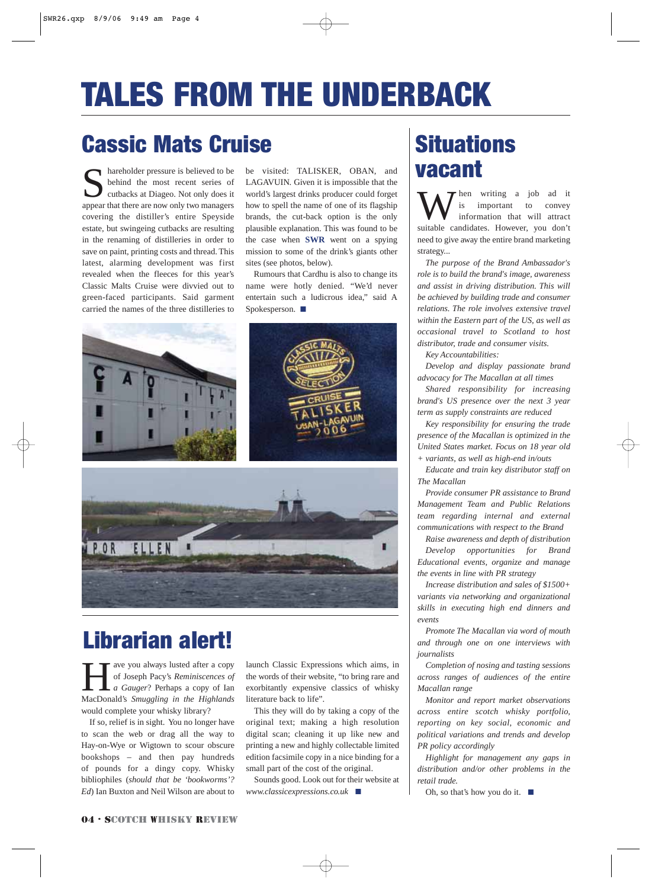## TALES FROM THE UNDERBACK

### Cassic Mats Cruise

shareholder pressure is believed to be behind the most recent series of cutbacks at Diageo. Not only does it appear that there are now only two managers covering the distiller's entire Speyside estate, but swingeing cutbacks are resulting in the renaming of distilleries in order to save on paint, printing costs and thread. This latest, alarming development was first revealed when the fleeces for this year's Classic Malts Cruise were divvied out to green-faced participants. Said garment carried the names of the three distilleries to

be visited: TALISKER, OBAN, and LAGAVUIN. Given it is impossible that the world's largest drinks producer could forget how to spell the name of one of its flagship brands, the cut-back option is the only plausible explanation. This was found to be the case when **SWR** went on a spying mission to some of the drink's giants other sites (see photos, below).

Rumours that Cardhu is also to change its name were hotly denied. "We'd never entertain such a ludicrous idea," said A Spokesperson. ■







## Librarian alert!

**Have you always lusted after a copy**<br>of Joseph Pacy's *Reminiscences of*<br>a Gauger? Perhaps a copy of Ian<br>MacDonald's *Smuggling in the Highlands* of Joseph Pacy's *Reminiscences of a Gauger*? Perhaps a copy of Ian MacDonald's *Smuggling in the Highlands* would complete your whisky library?

If so, relief is in sight. You no longer have to scan the web or drag all the way to Hay-on-Wye or Wigtown to scour obscure bookshops – and then pay hundreds of pounds for a dingy copy. Whisky bibliophiles (*should that be 'bookworms'? Ed*) Ian Buxton and Neil Wilson are about to

launch Classic Expressions which aims, in the words of their website, "to bring rare and exorbitantly expensive classics of whisky literature back to life".

This they will do by taking a copy of the original text; making a high resolution digital scan; cleaning it up like new and printing a new and highly collectable limited edition facsimile copy in a nice binding for a small part of the cost of the original.

Sounds good. Look out for their website at *www.classicexpressions.co.uk* ■

## **Situations** vacant

hen writing a job ad it<br>is important to convev important to information that will attract suitable candidates. However, you don't need to give away the entire brand marketing strategy...

*The purpose of the Brand Ambassador's role is to build the brand's image, awareness and assist in driving distribution. This will be achieved by building trade and consumer relations. The role involves extensive travel within the Eastern part of the US, as well as occasional travel to Scotland to host distributor, trade and consumer visits.*

*Key Accountabilities:*

*Develop and display passionate brand advocacy for The Macallan at all times*

*Shared responsibility for increasing brand's US presence over the next 3 year term as supply constraints are reduced*

*Key responsibility for ensuring the trade presence of the Macallan is optimized in the United States market. Focus on 18 year old + variants, as well as high-end in/outs*

*Educate and train key distributor staff on The Macallan*

*Provide consumer PR assistance to Brand Management Team and Public Relations team regarding internal and external communications with respect to the Brand*

*Raise awareness and depth of distribution*

*Develop opportunities for Brand Educational events, organize and manage the events in line with PR strategy*

*Increase distribution and sales of \$1500+ variants via networking and organizational skills in executing high end dinners and events*

*Promote The Macallan via word of mouth and through one on one interviews with journalists*

*Completion of nosing and tasting sessions across ranges of audiences of the entire Macallan range*

*Monitor and report market observations across entire scotch whisky portfolio, reporting on key social, economic and political variations and trends and develop PR policy accordingly*

*Highlight for management any gaps in distribution and/or other problems in the retail trade.*

Oh, so that's how you do it.  $\blacksquare$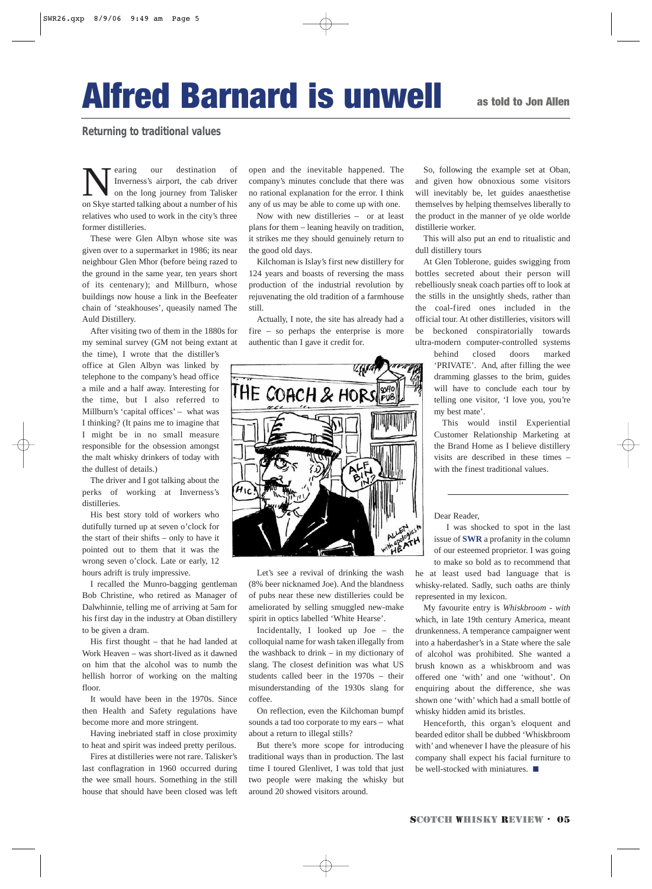## Alfred Barnard is unwell

#### **Returning to traditional values**

Nearing our destination of<br>Inverness's airport, the cab driver<br>on Skye started talking about a number of his Inverness's airport, the cab driver on the long journey from Talisker on Skye started talking about a number of his relatives who used to work in the city's three former distilleries.

These were Glen Albyn whose site was given over to a supermarket in 1986; its near neighbour Glen Mhor (before being razed to the ground in the same year, ten years short of its centenary); and Millburn, whose buildings now house a link in the Beefeater chain of 'steakhouses', queasily named The Auld Distillery.

After visiting two of them in the 1880s for my seminal survey (GM not being extant at

the time), I wrote that the distiller's office at Glen Albyn was linked by telephone to the company's head office a mile and a half away. Interesting for the time, but I also referred to Millburn's 'capital offices' – what was I thinking? (It pains me to imagine that I might be in no small measure responsible for the obsession amongst the malt whisky drinkers of today with the dullest of details.)

The driver and I got talking about the perks of working at Inverness's distilleries.

His best story told of workers who dutifully turned up at seven o'clock for the start of their shifts – only to have it pointed out to them that it was the wrong seven o'clock. Late or early, 12 hours adrift is truly impressive.

I recalled the Munro-bagging gentleman Bob Christine, who retired as Manager of Dalwhinnie, telling me of arriving at 5am for his first day in the industry at Oban distillery to be given a dram.

His first thought – that he had landed at Work Heaven – was short-lived as it dawned on him that the alcohol was to numb the hellish horror of working on the malting floor.

It would have been in the 1970s. Since then Health and Safety regulations have become more and more stringent.

Having inebriated staff in close proximity to heat and spirit was indeed pretty perilous.

Fires at distilleries were not rare. Talisker's last conflagration in 1960 occurred during the wee small hours. Something in the still house that should have been closed was left open and the inevitable happened. The company's minutes conclude that there was no rational explanation for the error. I think any of us may be able to come up with one.

Now with new distilleries – or at least plans for them – leaning heavily on tradition, it strikes me they should genuinely return to the good old days.

Kilchoman is Islay's first new distillery for 124 years and boasts of reversing the mass production of the industrial revolution by rejuvenating the old tradition of a farmhouse still.

Actually, I note, the site has already had a fire – so perhaps the enterprise is more authentic than I gave it credit for.



Let's see a revival of drinking the wash (8% beer nicknamed Joe). And the blandness of pubs near these new distilleries could be ameliorated by selling smuggled new-make spirit in optics labelled 'White Hearse'.

Incidentally, I looked up Joe – the colloquial name for wash taken illegally from the washback to drink – in my dictionary of slang. The closest definition was what US students called beer in the 1970s – their misunderstanding of the 1930s slang for coffee.

On reflection, even the Kilchoman bumpf sounds a tad too corporate to my ears – what about a return to illegal stills?

But there's more scope for introducing traditional ways than in production. The last time I toured Glenlivet, I was told that just two people were making the whisky but around 20 showed visitors around.

So, following the example set at Oban, and given how obnoxious some visitors will inevitably be, let guides anaesthetise themselves by helping themselves liberally to the product in the manner of ye olde worlde distillerie worker.

This will also put an end to ritualistic and dull distillery tours

At Glen Toblerone, guides swigging from bottles secreted about their person will rebelliously sneak coach parties off to look at the stills in the unsightly sheds, rather than the coal-fired ones included in the official tour. At other distilleries, visitors will be beckoned conspiratorially towards ultra-modern computer-controlled systems

> behind closed doors marked 'PRIVATE'. And, after filling the wee dramming glasses to the brim, guides will have to conclude each tour by telling one visitor, 'I love you, you're my best mate'.

> This would instil Experiential Customer Relationship Marketing at the Brand Home as I believe distillery visits are described in these times – with the finest traditional values.

Dear Reader,

I was shocked to spot in the last issue of **SWR** a profanity in the column of our esteemed proprietor. I was going to make so bold as to recommend that

he at least used bad language that is whisky-related. Sadly, such oaths are thinly represented in my lexicon.

My favourite entry is *Whiskbroom - with* which, in late 19th century America, meant drunkenness. A temperance campaigner went into a haberdasher's in a State where the sale of alcohol was prohibited. She wanted a brush known as a whiskbroom and was offered one 'with' and one 'without'. On enquiring about the difference, she was shown one 'with' which had a small bottle of whisky hidden amid its bristles.

Henceforth, this organ's eloquent and bearded editor shall be dubbed 'Whiskbroom with' and whenever I have the pleasure of his company shall expect his facial furniture to be well-stocked with miniatures. ■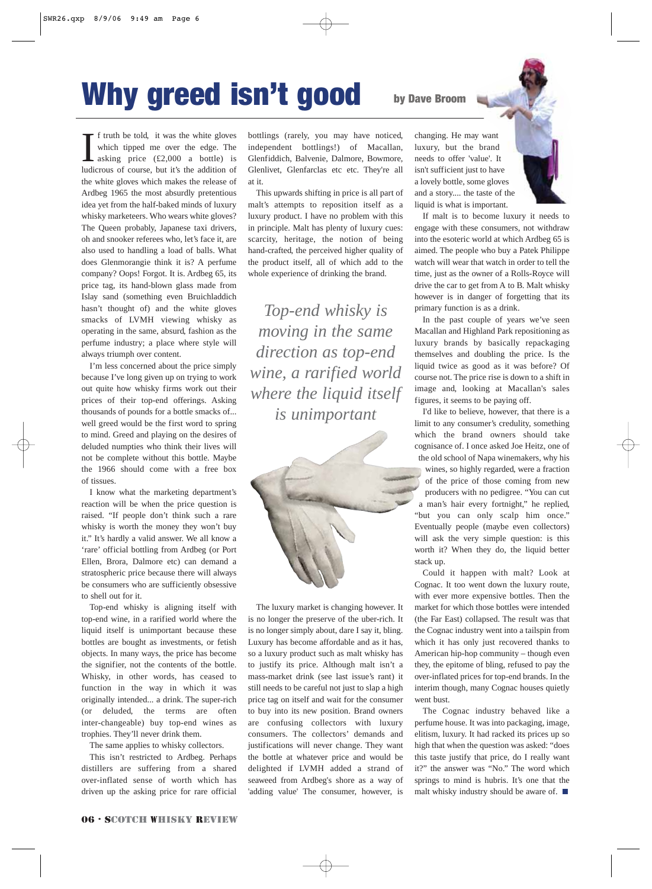## Why greed isn't good

If truth be told, it was the white gloves<br>which tipped me over the edge. The<br>asking price (£2,000 a bottle) is<br>ludicrous of course, but it's the addition of f truth be told, it was the white gloves which tipped me over the edge. The asking price (£2,000 a bottle) is the white gloves which makes the release of Ardbeg 1965 the most absurdly pretentious idea yet from the half-baked minds of luxury whisky marketeers. Who wears white gloves? The Queen probably, Japanese taxi drivers, oh and snooker referees who, let's face it, are also used to handling a load of balls. What does Glenmorangie think it is? A perfume company? Oops! Forgot. It is. Ardbeg 65, its price tag, its hand-blown glass made from Islay sand (something even Bruichladdich hasn't thought of) and the white gloves smacks of LVMH viewing whisky as operating in the same, absurd, fashion as the perfume industry; a place where style will always triumph over content.

I'm less concerned about the price simply because I've long given up on trying to work out quite how whisky firms work out their prices of their top-end offerings. Asking thousands of pounds for a bottle smacks of... well greed would be the first word to spring to mind. Greed and playing on the desires of deluded numpties who think their lives will not be complete without this bottle. Maybe the 1966 should come with a free box of tissues.

I know what the marketing department's reaction will be when the price question is raised. "If people don't think such a rare whisky is worth the money they won't buy it." It's hardly a valid answer. We all know a 'rare' official bottling from Ardbeg (or Port Ellen, Brora, Dalmore etc) can demand a stratospheric price because there will always be consumers who are sufficiently obsessive to shell out for it.

Top-end whisky is aligning itself with top-end wine, in a rarified world where the liquid itself is unimportant because these bottles are bought as investments, or fetish objects. In many ways, the price has become the signifier, not the contents of the bottle. Whisky, in other words, has ceased to function in the way in which it was originally intended... a drink. The super-rich (or deluded, the terms are often inter-changeable) buy top-end wines as trophies. They'll never drink them.

The same applies to whisky collectors.

This isn't restricted to Ardbeg. Perhaps distillers are suffering from a shared over-inflated sense of worth which has driven up the asking price for rare official bottlings (rarely, you may have noticed, independent bottlings!) of Macallan, Glenfiddich, Balvenie, Dalmore, Bowmore, Glenlivet, Glenfarclas etc etc. They're all at it.

This upwards shifting in price is all part of malt's attempts to reposition itself as a luxury product. I have no problem with this in principle. Malt has plenty of luxury cues: scarcity, heritage, the notion of being hand-crafted, the perceived higher quality of the product itself, all of which add to the whole experience of drinking the brand.

*Top-end whisky is moving in the same direction as top-end wine, a rarified world where the liquid itself is unimportant* 



The luxury market is changing however. It is no longer the preserve of the uber-rich. It is no longer simply about, dare I say it, bling. Luxury has become affordable and as it has, so a luxury product such as malt whisky has to justify its price. Although malt isn't a mass-market drink (see last issue's rant) it still needs to be careful not just to slap a high price tag on itself and wait for the consumer to buy into its new position. Brand owners are confusing collectors with luxury consumers. The collectors' demands and justifications will never change. They want the bottle at whatever price and would be delighted if LVMH added a strand of seaweed from Ardbeg's shore as a way of 'adding value' The consumer, however, is

changing. He may want luxury, but the brand needs to offer 'value'. It isn't sufficient just to have a lovely bottle, some gloves and a story.... the taste of the liquid is what is important.

by Dave Broom

If malt is to become luxury it needs to engage with these consumers, not withdraw into the esoteric world at which Ardbeg 65 is aimed. The people who buy a Patek Philippe watch will wear that watch in order to tell the time, just as the owner of a Rolls-Royce will drive the car to get from A to B. Malt whisky however is in danger of forgetting that its primary function is as a drink.

In the past couple of years we've seen Macallan and Highland Park repositioning as luxury brands by basically repackaging themselves and doubling the price. Is the liquid twice as good as it was before? Of course not. The price rise is down to a shift in image and, looking at Macallan's sales figures, it seems to be paying off.

I'd like to believe, however, that there is a limit to any consumer's credulity, something which the brand owners should take cognisance of. I once asked Joe Heitz, one of the old school of Napa winemakers, why his

wines, so highly regarded, were a fraction of the price of those coming from new producers with no pedigree. "You can cut a man's hair every fortnight," he replied, "but you can only scalp him once." Eventually people (maybe even collectors) will ask the very simple question: is this worth it? When they do, the liquid better stack up.

Could it happen with malt? Look at Cognac. It too went down the luxury route, with ever more expensive bottles. Then the market for which those bottles were intended (the Far East) collapsed. The result was that the Cognac industry went into a tailspin from which it has only just recovered thanks to American hip-hop community – though even they, the epitome of bling, refused to pay the over-inflated prices for top-end brands. In the interim though, many Cognac houses quietly went bust.

The Cognac industry behaved like a perfume house. It was into packaging, image, elitism, luxury. It had racked its prices up so high that when the question was asked: "does this taste justify that price, do I really want it?" the answer was "No." The word which springs to mind is hubris. It's one that the malt whisky industry should be aware of.  $\blacksquare$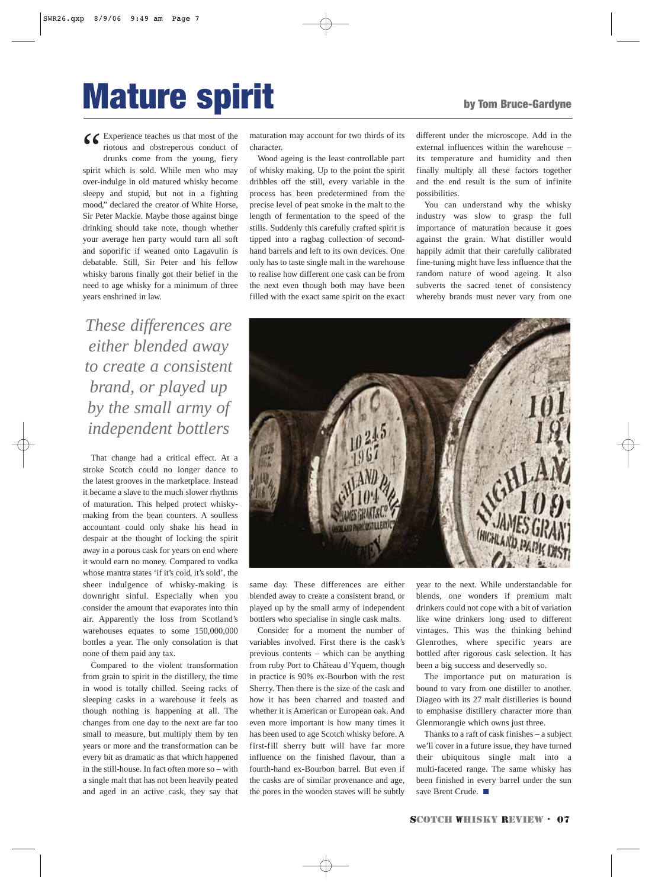## **Mature spirit** by Tom Bruce-Gardyne

C Experience teaches us that most of the riotous and obstreperous conduct of drunks come from the young, fiery spirit which is sold. While men who may riotous and obstreperous conduct of drunks come from the young, fiery spirit which is sold. While men who may over-indulge in old matured whisky become sleepy and stupid, but not in a fighting mood," declared the creator of White Horse, Sir Peter Mackie. Maybe those against binge drinking should take note, though whether your average hen party would turn all soft and soporific if weaned onto Lagavulin is debatable. Still, Sir Peter and his fellow whisky barons finally got their belief in the need to age whisky for a minimum of three years enshrined in law.

*These differences are either blended away to create a consistent brand, or played up by the small army of independent bottlers*

That change had a critical effect. At a stroke Scotch could no longer dance to the latest grooves in the marketplace. Instead it became a slave to the much slower rhythms of maturation. This helped protect whiskymaking from the bean counters. A soulless accountant could only shake his head in despair at the thought of locking the spirit away in a porous cask for years on end where it would earn no money. Compared to vodka whose mantra states 'if it's cold, it's sold', the sheer indulgence of whisky-making is downright sinful. Especially when you consider the amount that evaporates into thin air. Apparently the loss from Scotland's warehouses equates to some 150,000,000 bottles a year. The only consolation is that none of them paid any tax.

Compared to the violent transformation from grain to spirit in the distillery, the time in wood is totally chilled. Seeing racks of sleeping casks in a warehouse it feels as though nothing is happening at all. The changes from one day to the next are far too small to measure, but multiply them by ten years or more and the transformation can be every bit as dramatic as that which happened in the still-house. In fact often more so – with a single malt that has not been heavily peated and aged in an active cask, they say that

maturation may account for two thirds of its character.

Wood ageing is the least controllable part of whisky making. Up to the point the spirit dribbles off the still, every variable in the process has been predetermined from the precise level of peat smoke in the malt to the length of fermentation to the speed of the stills. Suddenly this carefully crafted spirit is tipped into a ragbag collection of secondhand barrels and left to its own devices. One only has to taste single malt in the warehouse to realise how different one cask can be from the next even though both may have been filled with the exact same spirit on the exact different under the microscope. Add in the external influences within the warehouse – its temperature and humidity and then finally multiply all these factors together and the end result is the sum of infinite possibilities.

You can understand why the whisky industry was slow to grasp the full importance of maturation because it goes against the grain. What distiller would happily admit that their carefully calibrated fine-tuning might have less influence that the random nature of wood ageing. It also subverts the sacred tenet of consistency whereby brands must never vary from one



same day. These differences are either blended away to create a consistent brand, or played up by the small army of independent bottlers who specialise in single cask malts.

Consider for a moment the number of variables involved. First there is the cask's previous contents – which can be anything from ruby Port to Château d'Yquem, though in practice is 90% ex-Bourbon with the rest Sherry. Then there is the size of the cask and how it has been charred and toasted and whether it is American or European oak. And even more important is how many times it has been used to age Scotch whisky before. A first-fill sherry butt will have far more influence on the finished flavour, than a fourth-hand ex-Bourbon barrel. But even if the casks are of similar provenance and age, the pores in the wooden staves will be subtly

year to the next. While understandable for blends, one wonders if premium malt drinkers could not cope with a bit of variation like wine drinkers long used to different vintages. This was the thinking behind Glenrothes, where specific years are bottled after rigorous cask selection. It has been a big success and deservedly so.

The importance put on maturation is bound to vary from one distiller to another. Diageo with its 27 malt distilleries is bound to emphasise distillery character more than Glenmorangie which owns just three.

Thanks to a raft of cask finishes – a subject we'll cover in a future issue, they have turned their ubiquitous single malt into a multi-faceted range. The same whisky has been finished in every barrel under the sun save Brent Crude. ■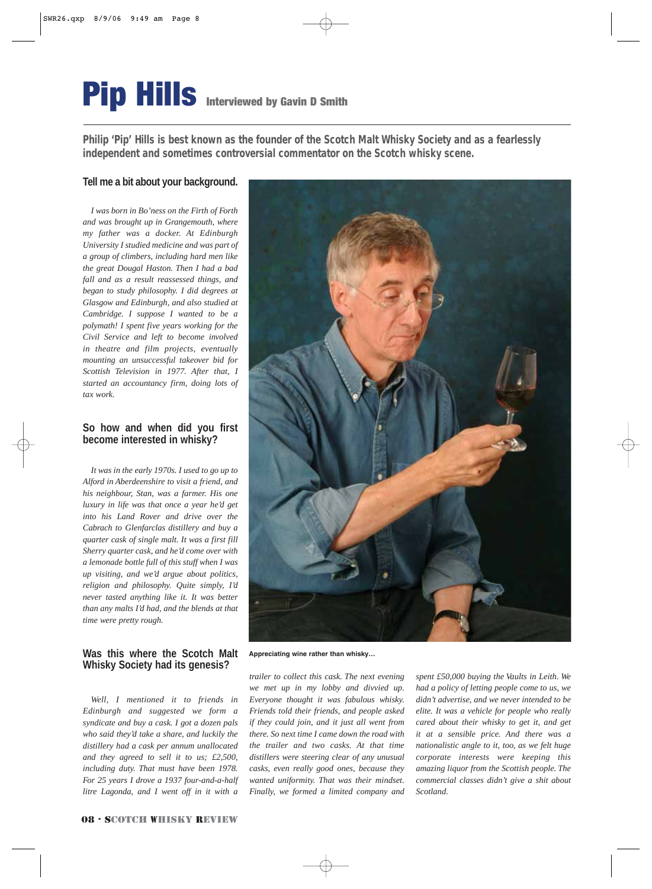## **Pip Hills** Interviewed by Gavin D Smith

**Philip 'Pip' Hills is best known as the founder of the Scotch Malt Whisky Society and as a fearlessly independent and sometimes controversial commentator on the Scotch whisky scene.**

### **Tell me a bit about your background.**

*I was born in Bo'ness on the Firth of Forth and was brought up in Grangemouth, where my father was a docker. At Edinburgh University I studied medicine and was part of a group of climbers, including hard men like the great Dougal Haston. Then I had a bad fall and as a result reassessed things, and began to study philosophy. I did degrees at Glasgow and Edinburgh, and also studied at Cambridge. I suppose I wanted to be a polymath! I spent five years working for the Civil Service and left to become involved in theatre and film projects, eventually mounting an unsuccessful takeover bid for Scottish Television in 1977. After that, I started an accountancy firm, doing lots of tax work.*

### **So how and when did you first become interested in whisky?**

*It was in the early 1970s. I used to go up to Alford in Aberdeenshire to visit a friend, and his neighbour, Stan, was a farmer. His one luxury in life was that once a year he'd get into his Land Rover and drive over the Cabrach to Glenfarclas distillery and buy a quarter cask of single malt. It was a first fill Sherry quarter cask, and he'd come over with a lemonade bottle full of this stuff when I was up visiting, and we'd argue about politics, religion and philosophy. Quite simply, I'd never tasted anything like it. It was better than any malts I'd had, and the blends at that time were pretty rough.* 

### **Was this where the Scotch Malt Whisky Society had its genesis?**

*Well, I mentioned it to friends in Edinburgh and suggested we form a syndicate and buy a cask. I got a dozen pals who said they'd take a share, and luckily the distillery had a cask per annum unallocated and they agreed to sell it to us; £2,500, including duty. That must have been 1978. For 25 years I drove a 1937 four-and-a-half litre Lagonda, and I went off in it with a* 



**Appreciating wine rather than whisky…**

*trailer to collect this cask. The next evening we met up in my lobby and divvied up. Everyone thought it was fabulous whisky. Friends told their friends, and people asked if they could join, and it just all went from there. So next time I came down the road with the trailer and two casks. At that time distillers were steering clear of any unusual casks, even really good ones, because they wanted uniformity. That was their mindset. Finally, we formed a limited company and* *spent £50,000 buying the Vaults in Leith. We had a policy of letting people come to us, we didn't advertise, and we never intended to be elite. It was a vehicle for people who really cared about their whisky to get it, and get it at a sensible price. And there was a nationalistic angle to it, too, as we felt huge corporate interests were keeping this amazing liquor from the Scottish people. The commercial classes didn't give a shit about Scotland.*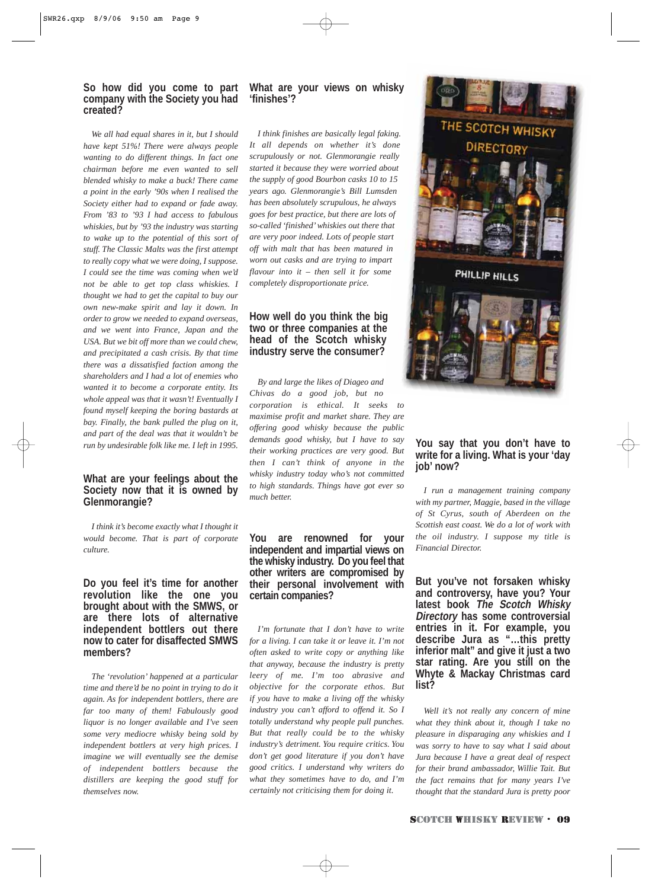#### **So how did you come to part company with the Society you had created?**

*We all had equal shares in it, but I should have kept 51%! There were always people wanting to do different things. In fact one chairman before me even wanted to sell blended whisky to make a buck! There came a point in the early '90s when I realised the Society either had to expand or fade away. From '83 to '93 I had access to fabulous whiskies, but by '93 the industry was starting to wake up to the potential of this sort of stuff. The Classic Malts was the first attempt to really copy what we were doing, I suppose. I could see the time was coming when we'd not be able to get top class whiskies. I thought we had to get the capital to buy our own new-make spirit and lay it down. In order to grow we needed to expand overseas, and we went into France, Japan and the USA. But we bit off more than we could chew, and precipitated a cash crisis. By that time there was a dissatisfied faction among the shareholders and I had a lot of enemies who wanted it to become a corporate entity. Its whole appeal was that it wasn't! Eventually I found myself keeping the boring bastards at bay. Finally, the bank pulled the plug on it, and part of the deal was that it wouldn't be run by undesirable folk like me. I left in 1995.*

### **What are your feelings about the Society now that it is owned by Glenmorangie?**

*I think it's become exactly what I thought it would become. That is part of corporate culture.*

#### **Do you feel it's time for another revolution like the one you brought about with the SMWS, or are there lots of alternative independent bottlers out there now to cater for disaffected SMWS members?**

*The 'revolution' happened at a particular time and there'd be no point in trying to do it again. As for independent bottlers, there are far too many of them! Fabulously good liquor is no longer available and I've seen some very mediocre whisky being sold by independent bottlers at very high prices. I imagine we will eventually see the demise of independent bottlers because the distillers are keeping the good stuff for themselves now.*

#### **What are your views on whisky 'finishes'?**

*I think finishes are basically legal faking. It all depends on whether it's done scrupulously or not. Glenmorangie really started it because they were worried about the supply of good Bourbon casks 10 to 15 years ago. Glenmorangie's Bill Lumsden has been absolutely scrupulous, he always goes for best practice, but there are lots of so-called 'finished' whiskies out there that are very poor indeed. Lots of people start off with malt that has been matured in worn out casks and are trying to impart flavour into it – then sell it for some completely disproportionate price.*

#### **How well do you think the big two or three companies at the head of the Scotch whisky industry serve the consumer?**

*By and large the likes of Diageo and Chivas do a good job, but no corporation is ethical. It seeks to maximise profit and market share. They are offering good whisky because the public demands good whisky, but I have to say their working practices are very good. But then I can't think of anyone in the whisky industry today who's not committed to high standards. Things have got ever so much better.*

#### **You are renowned for your independent and impartial views on the whisky industry. Do you feel that other writers are compromised by their personal involvement with certain companies?**

*I'm fortunate that I don't have to write for a living. I can take it or leave it. I'm not often asked to write copy or anything like that anyway, because the industry is pretty leery of me. I'm too abrasive and objective for the corporate ethos. But if you have to make a living off the whisky industry you can't afford to offend it. So I totally understand why people pull punches. But that really could be to the whisky industry's detriment. You require critics. You don't get good literature if you don't have good critics. I understand why writers do what they sometimes have to do, and I'm certainly not criticising them for doing it.*



### **You say that you don't have to write for a living. What is your 'day job' now?**

*I run a management training company with my partner, Maggie, based in the village of St Cyrus, south of Aberdeen on the Scottish east coast. We do a lot of work with the oil industry. I suppose my title is Financial Director.*

**But you've not forsaken whisky and controversy, have you? Your latest book The Scotch Whisky Directory has some controversial entries in it. For example, you describe Jura as "…this pretty inferior malt" and give it just a two star rating. Are you still on the Whyte & Mackay Christmas card list?**

*Well it's not really any concern of mine what they think about it, though I take no pleasure in disparaging any whiskies and I was sorry to have to say what I said about Jura because I have a great deal of respect for their brand ambassador, Willie Tait. But the fact remains that for many years I've thought that the standard Jura is pretty poor*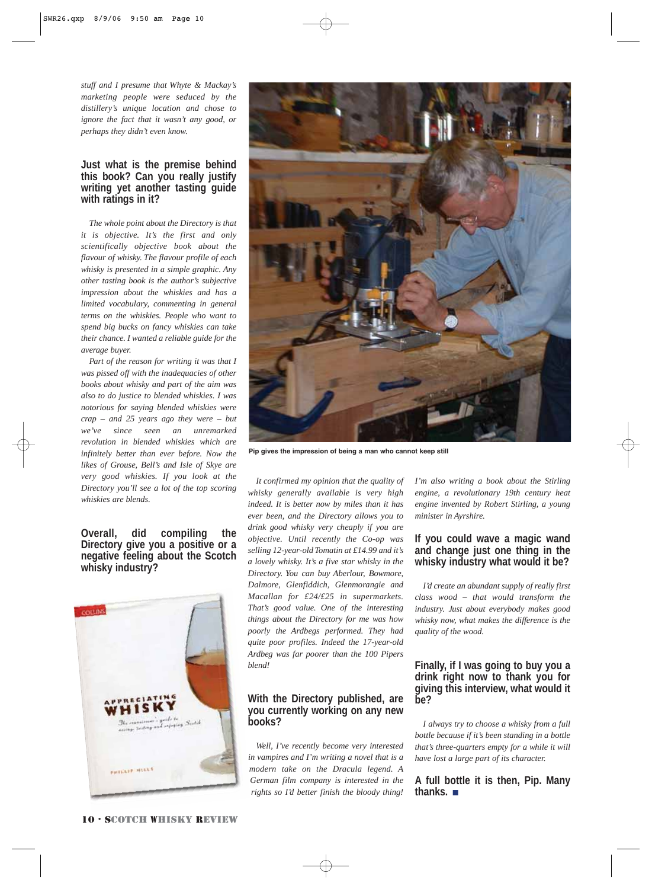*stuff and I presume that Whyte & Mackay's marketing people were seduced by the distillery's unique location and chose to ignore the fact that it wasn't any good, or perhaps they didn't even know.*

#### **Just what is the premise behind this book? Can you really justify writing yet another tasting guide with ratings in it?**

*The whole point about the Directory is that it is objective. It's the first and only scientifically objective book about the flavour of whisky. The flavour profile of each whisky is presented in a simple graphic. Any other tasting book is the author's subjective impression about the whiskies and has a limited vocabulary, commenting in general terms on the whiskies. People who want to spend big bucks on fancy whiskies can take their chance. I wanted a reliable guide for the average buyer.*

*Part of the reason for writing it was that I was pissed off with the inadequacies of other books about whisky and part of the aim was also to do justice to blended whiskies. I was notorious for saying blended whiskies were crap* – *and 25 years ago they were* – *but we've since seen an unremarked revolution in blended whiskies which are infinitely better than ever before. Now the likes of Grouse, Bell's and Isle of Skye are very good whiskies. If you look at the Directory you'll see a lot of the top scoring whiskies are blends.* 

### **Overall, did compiling the Directory give you a positive or a negative feeling about the Scotch whisky industry?**





**Pip gives the impression of being a man who cannot keep still**

*It confirmed my opinion that the quality of whisky generally available is very high indeed. It is better now by miles than it has ever been, and the Directory allows you to drink good whisky very cheaply if you are objective. Until recently the Co-op was selling 12-year-old Tomatin at £14.99 and it's a lovely whisky. It's a five star whisky in the Directory. You can buy Aberlour, Bowmore, Dalmore, Glenfiddich, Glenmorangie and Macallan for £24/£25 in supermarkets. That's good value. One of the interesting things about the Directory for me was how poorly the Ardbegs performed. They had quite poor profiles. Indeed the 17-year-old Ardbeg was far poorer than the 100 Pipers blend!*

#### **With the Directory published, are you currently working on any new books?**

*Well, I've recently become very interested in vampires and I'm writing a novel that is a modern take on the Dracula legend. A German film company is interested in the rights so I'd better finish the bloody thing!*

*I'm also writing a book about the Stirling engine, a revolutionary 19th century heat engine invented by Robert Stirling, a young minister in Ayrshire.*

#### **If you could wave a magic wand and change just one thing in the whisky industry what would it be?**

*I'd create an abundant supply of really first class wood – that would transform the industry. Just about everybody makes good whisky now, what makes the difference is the quality of the wood.*

#### **Finally, if I was going to buy you a drink right now to thank you for giving this interview, what would it be?**

*I always try to choose a whisky from a full bottle because if it's been standing in a bottle that's three-quarters empty for a while it will have lost a large part of its character.*

**A full bottle it is then, Pip. Many thanks.** ■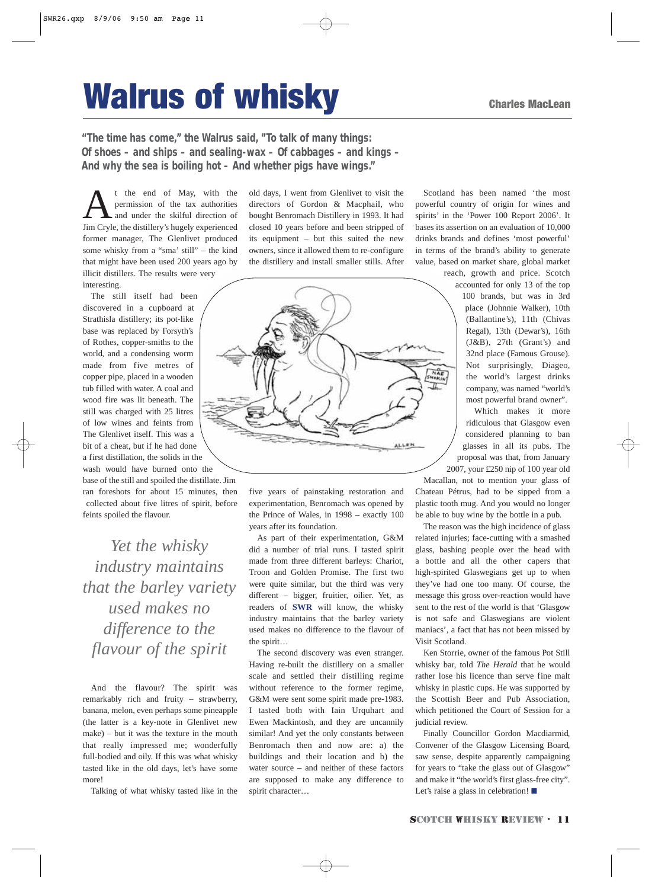# **Walrus of whisky** Charles MacLean

**"The time has come," the Walrus said, "To talk of many things: Of shoes – and ships – and sealing-wax – Of cabbages – and kings – And why the sea is boiling hot – And whether pigs have wings."**

t the end of May, with the permission of the tax authorities and under the skilful direction of Jim Cryle, the distillery's hugely experienced former manager, The Glenlivet produced some whisky from a "sma' still" – the kind that might have been used 200 years ago by illicit distillers. The results were very interesting.

The still itself had been discovered in a cupboard at Strathisla distillery; its pot-like base was replaced by Forsyth's of Rothes, copper-smiths to the world, and a condensing worm made from five metres of copper pipe, placed in a wooden tub filled with water. A coal and wood fire was lit beneath. The still was charged with 25 litres of low wines and feints from The Glenlivet itself. This was a bit of a cheat, but if he had done a first distillation, the solids in the wash would have burned onto the

base of the still and spoiled the distillate. Jim ran foreshots for about 15 minutes, then collected about five litres of spirit, before feints spoiled the flavour.

*Yet the whisky industry maintains that the barley variety used makes no difference to the flavour of the spirit* 

And the flavour? The spirit was remarkably rich and fruity – strawberry, banana, melon, even perhaps some pineapple (the latter is a key-note in Glenlivet new make) – but it was the texture in the mouth that really impressed me; wonderfully full-bodied and oily. If this was what whisky tasted like in the old days, let's have some more!

Talking of what whisky tasted like in the

old days, I went from Glenlivet to visit the directors of Gordon & Macphail, who bought Benromach Distillery in 1993. It had closed 10 years before and been stripped of its equipment – but this suited the new owners, since it allowed them to re-configure the distillery and install smaller stills. After



five years of painstaking restoration and experimentation, Benromach was opened by the Prince of Wales, in 1998 – exactly 100 years after its foundation.

As part of their experimentation, G&M did a number of trial runs. I tasted spirit made from three different barleys: Chariot, Troon and Golden Promise. The first two were quite similar, but the third was very different – bigger, fruitier, oilier. Yet, as readers of **SWR** will know, the whisky industry maintains that the barley variety used makes no difference to the flavour of the spirit…

The second discovery was even stranger. Having re-built the distillery on a smaller scale and settled their distilling regime without reference to the former regime, G&M were sent some spirit made pre-1983. I tasted both with Iain Urquhart and Ewen Mackintosh, and they are uncannily similar! And yet the only constants between Benromach then and now are: a) the buildings and their location and b) the water source – and neither of these factors are supposed to make any difference to spirit character…

Scotland has been named 'the most powerful country of origin for wines and spirits' in the 'Power 100 Report 2006'. It bases its assertion on an evaluation of 10,000 drinks brands and defines 'most powerful' in terms of the brand's ability to generate value, based on market share, global market

> reach, growth and price. Scotch accounted for only 13 of the top 100 brands, but was in 3rd place (Johnnie Walker), 10th (Ballantine's), 11th (Chivas Regal), 13th (Dewar's), 16th (J&B), 27th (Grant's) and 32nd place (Famous Grouse). Not surprisingly, Diageo, the world's largest drinks company, was named "world's most powerful brand owner".

Which makes it more ridiculous that Glasgow even considered planning to ban glasses in all its pubs. The proposal was that, from January 2007, your £250 nip of 100 year old

Macallan, not to mention your glass of Chateau Pétrus, had to be sipped from a plastic tooth mug. And you would no longer be able to buy wine by the bottle in a pub.

The reason was the high incidence of glass related injuries; face-cutting with a smashed glass, bashing people over the head with a bottle and all the other capers that high-spirited Glaswegians get up to when they've had one too many. Of course, the message this gross over-reaction would have sent to the rest of the world is that 'Glasgow is not safe and Glaswegians are violent maniacs', a fact that has not been missed by Visit Scotland.

Ken Storrie, owner of the famous Pot Still whisky bar, told *The Herald* that he would rather lose his licence than serve fine malt whisky in plastic cups. He was supported by the Scottish Beer and Pub Association, which petitioned the Court of Session for a judicial review.

Finally Councillor Gordon Macdiarmid, Convener of the Glasgow Licensing Board, saw sense, despite apparently campaigning for years to "take the glass out of Glasgow" and make it "the world's first glass-free city". Let's raise a glass in celebration! ■